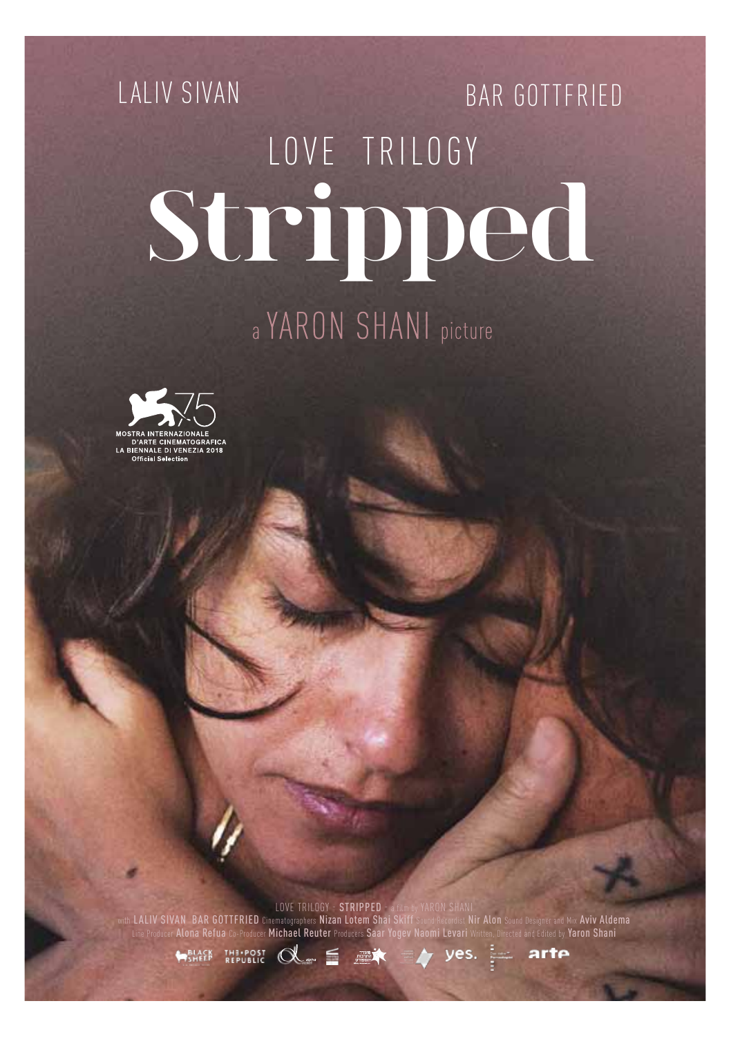# LALIV SIVAN BAR GOTTFRIED LOVE TRILOGY **Stripped**

### a YARON SHANI picture



LOVE TRILOGY – STRIPPED – a film by YARON SHANI<br>with LALIV SIVAN BAR GOTTFRIED Cinematographers Nizan Lotem Shai Skiff Sound Recordist Nir Alon Sound Designer and Mix Aviv Aldema<br>Line Producer Alona Refua Co-Produce**r Mich** 

arte

**ARLACK THE POST OR SOFT THE POST OF SHELP** yes.